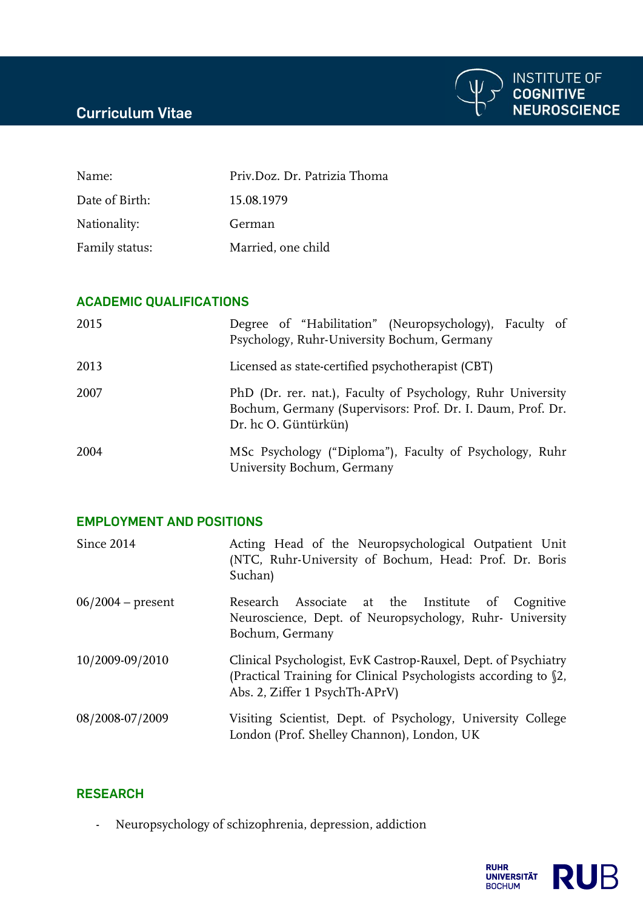## **Curriculum Vitae**



| Name:          | Priv.Doz. Dr. Patrizia Thoma |
|----------------|------------------------------|
| Date of Birth: | 15.08.1979                   |
| Nationality:   | German                       |
| Family status: | Married, one child           |

#### **ACADEMIC QUALIFICATIONS**

| 2015 | Degree of "Habilitation" (Neuropsychology), Faculty of<br>Psychology, Ruhr-University Bochum, Germany                                             |
|------|---------------------------------------------------------------------------------------------------------------------------------------------------|
| 2013 | Licensed as state-certified psychotherapist (CBT)                                                                                                 |
| 2007 | PhD (Dr. rer. nat.), Faculty of Psychology, Ruhr University<br>Bochum, Germany (Supervisors: Prof. Dr. I. Daum, Prof. Dr.<br>Dr. hc O. Güntürkün) |
| 2004 | MSc Psychology ("Diploma"), Faculty of Psychology, Ruhr<br>University Bochum, Germany                                                             |

## **EMPLOYMENT AND POSITIONS**

| Since 2014          | Acting Head of the Neuropsychological Outpatient Unit<br>(NTC, Ruhr-University of Bochum, Head: Prof. Dr. Boris<br>Suchan)                                          |
|---------------------|---------------------------------------------------------------------------------------------------------------------------------------------------------------------|
| $06/2004$ – present | Research Associate at the Institute of Cognitive<br>Neuroscience, Dept. of Neuropsychology, Ruhr- University<br>Bochum, Germany                                     |
| 10/2009-09/2010     | Clinical Psychologist, EvK Castrop-Rauxel, Dept. of Psychiatry<br>(Practical Training for Clinical Psychologists according to §2,<br>Abs. 2, Ziffer 1 PsychTh-APrV) |
| 08/2008-07/2009     | Visiting Scientist, Dept. of Psychology, University College<br>London (Prof. Shelley Channon), London, UK                                                           |

#### **RESEARCH**

- Neuropsychology of schizophrenia, depression, addiction

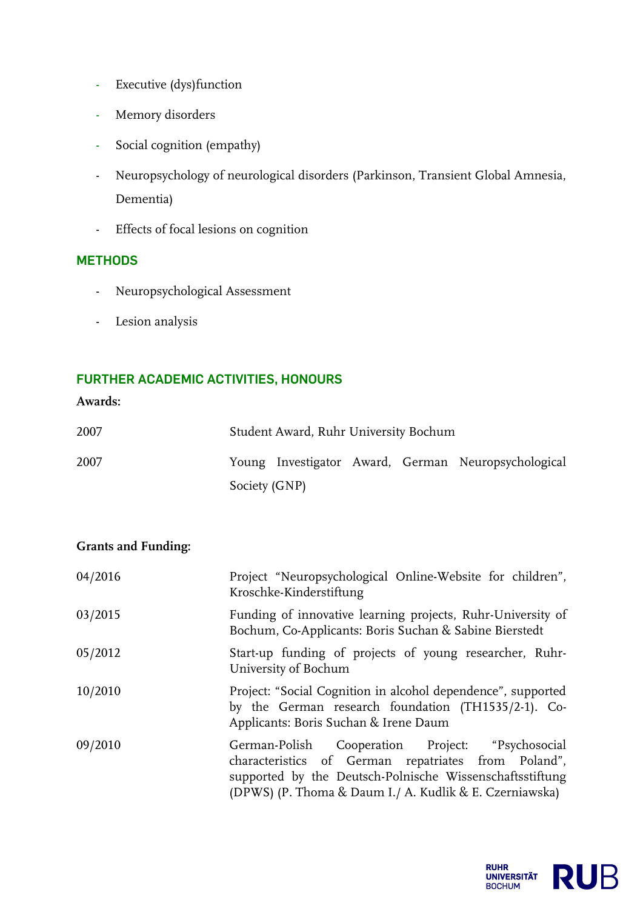- Executive (dys)function
- Memory disorders
- Social cognition (empathy)
- Neuropsychology of neurological disorders (Parkinson, Transient Global Amnesia, Dementia)
- Effects of focal lesions on cognition

## **METHODS**

- Neuropsychological Assessment
- Lesion analysis

## **FURTHER ACADEMIC ACTIVITIES, HONOURS**

### **Awards:**

| 2007 |               | Student Award, Ruhr University Bochum |  |                                                     |
|------|---------------|---------------------------------------|--|-----------------------------------------------------|
| 2007 |               |                                       |  | Young Investigator Award, German Neuropsychological |
|      | Society (GNP) |                                       |  |                                                     |

### **Grants and Funding:**

| 04/2016 | Project "Neuropsychological Online-Website for children",<br>Kroschke-Kinderstiftung                                                                                                                                           |
|---------|--------------------------------------------------------------------------------------------------------------------------------------------------------------------------------------------------------------------------------|
| 03/2015 | Funding of innovative learning projects, Ruhr-University of<br>Bochum, Co-Applicants: Boris Suchan & Sabine Bierstedt                                                                                                          |
| 05/2012 | Start-up funding of projects of young researcher, Ruhr-<br>University of Bochum                                                                                                                                                |
| 10/2010 | Project: "Social Cognition in alcohol dependence", supported<br>by the German research foundation (TH1535/2-1). Co-<br>Applicants: Boris Suchan & Irene Daum                                                                   |
| 09/2010 | German-Polish Cooperation Project: "Psychosocial<br>characteristics of German repatriates from Poland",<br>supported by the Deutsch-Polnische Wissenschaftsstiftung<br>(DPWS) (P. Thoma & Daum I./ A. Kudlik & E. Czerniawska) |